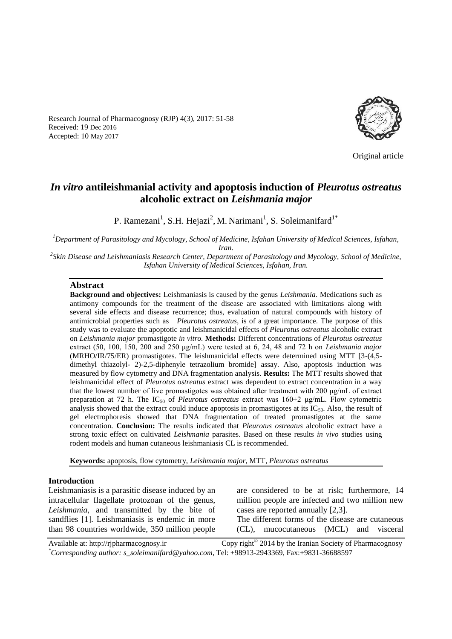Research Journal of Pharmacognosy (RJP) 4(3), 2017: 51-58 Received: 19 Dec 2016 Accepted: 10 May 2017



Original article

# *In vitro* **antileishmanial activity and apoptosis induction of** *Pleurotus ostreatus*  **alcoholic extract on** *Leishmania major*

P. Ramezani<sup>1</sup>, S.H. Hejazi<sup>2</sup>, M. Narimani<sup>1</sup>, S. Soleimanifard<sup>1\*</sup>

*<sup>1</sup>Department of Parasitology and Mycology, School of Medicine, Isfahan University of Medical Sciences, Isfahan, Iran.* 

<sup>2</sup> Skin Disease and Leishmaniasis Research Center, Department of Parasitology and Mycology, School of Medicine, *Isfahan University of Medical Sciences, Isfahan, Iran.*

#### **Abstract**

**Background and objectives:** Leishmaniasis is caused by the genus *Leishmania*. Medications such as antimony compounds for the treatment of the disease are associated with limitations along with several side effects and disease recurrence; thus, evaluation of natural compounds with history of antimicrobial properties such as *Pleurotus ostreatus*, is of a great importance. The purpose of this study was to evaluate the apoptotic and leishmanicidal effects of *Pleurotus ostreatus* alcoholic extract on *Leishmania major* promastigote *in vitro.* **Methods:** Different concentrations of *Pleurotus ostreatus* extract (50, 100, 150, 200 and 250 μg/mL) were tested at 6, 24, 48 and 72 h on *Leishmania major* (MRHO/IR/75/ER) promastigotes. The leishmanicidal effects were determined using MTT [3-(4,5 dimethyl thiazolyl- 2)-2,5-diphenyle tetrazolium bromide] assay. Also, apoptosis induction was measured by flow cytometry and DNA fragmentation analysis. **Results:** The MTT results showed that leishmanicidal effect of *Pleurotus ostreatus* extract was dependent to extract concentration in a way that the lowest number of live promastigotes was obtained after treatment with 200 μg/mL of extract preparation at 72 h. The IC<sup>50</sup> of *Pleurotus ostreatus* extract was 160±2 μg/mL. Flow cytometric analysis showed that the extract could induce apoptosis in promastigotes at its  $IC_{50}$ . Also, the result of gel electrophoresis showed that DNA fragmentation of treated promastigotes at the same concentration. **Conclusion:** The results indicated that *Pleurotus ostreatus* alcoholic extract have a strong toxic effect on cultivated *Leishmania* parasites. Based on these results *in vivo* studies using rodent models and human cutaneous leishmaniasis CL is recommended.

**Keywords:** apoptosis, flow cytometry, *Leishmania major*, MTT, *Pleurotus ostreatus*

## **Introduction**

Leishmaniasis is a parasitic disease induced by an intracellular flagellate protozoan of the genus, *Leishmania*, and transmitted by the bite of sandflies [1]. Leishmaniasis is endemic in more than 98 countries worldwide, 350 million people are considered to be at risk; furthermore, 14 million people are infected and two million new cases are reported annually [2,3].

The different forms of the disease are cutaneous (CL), mucocutaneous (MCL) and visceral

Available at: http://rjpharmacognosy.ir Copy right $^{\circ}$  2014 by the Iranian Society of Pharmacognosy *\*Corresponding author: s\_soleimanifard@yahoo.com,* Tel: +98913-2943369, Fax:+9831-36688597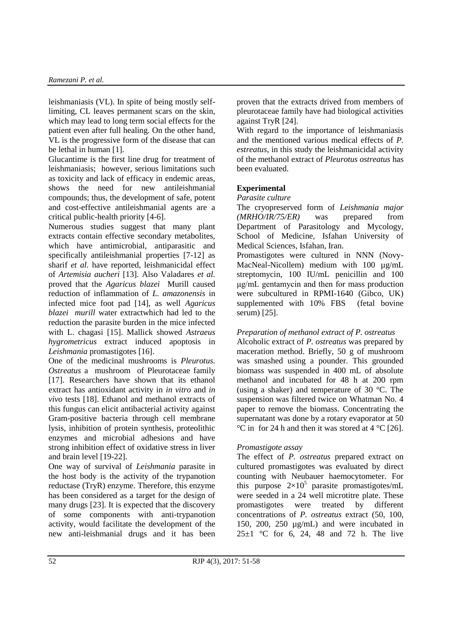leishmaniasis (VL). In spite of being mostly selflimiting, CL leaves permanent scars on the skin, which may lead to long term social effects for the patient even after full healing. On the other hand, VL is the progressive form of the disease that can be lethal in human [1].

Glucantime is the first line drug for treatment of leishmaniasis; however, serious limitations such as toxicity and lack of efficacy in endemic areas, shows the need for new antileishmanial compounds; thus, the development of safe, potent and cost-effective antileishmanial agents are a critical public-health priority [4-6].

Numerous studies suggest that many plant extracts contain effective secondary metabolites, which have antimicrobial, antiparasitic and specifically antileishmanial properties [7-12] as sharif *et al.* have reported, leishmanicidal effect of *Artemisia aucheri* [13]. Also Valadares *et al.* proved that the *Agaricus blazei* Murill caused reduction of inflammation of *L. amazonensis* in infected mice foot pad [14], as well *Agaricus blazei murill* water extractwhich had led to the reduction the parasite burden in the mice infected with L. chagasi [15]. Mallick showed *Astraeus hygrometricus* extract induced apoptosis in *Leishmania* promastigotes [16].

One of the medicinal mushrooms is *Pleurotus. Ostreatus* a mushroom of Pleurotaceae family [17]. Researchers have shown that its ethanol extract has antioxidant activity in *in vitro* and *in vivo* tests [18]. Ethanol and methanol extracts of this fungus can elicit antibacterial activity against Gram-positive bacteria through cell membrane lysis, inhibition of protein synthesis, proteolithic enzymes and microbial adhesions and have strong inhibition effect of oxidative stress in liver and brain level [19-22].

One way of survival of *Leishmania* parasite in the host body is the activity of the trypanotion reductase (TryR) enzyme. Therefore, this enzyme has been considered as a target for the design of many drugs [23]. It is expected that the discovery of some components with anti-trypanotion activity, would facilitate the development of the new anti-leishmanial drugs and it has been proven that the extracts drived from members of pleurotaceae family have had biological activities against TryR [24].

With regard to the importance of leishmaniasis and the mentioned various medical effects of *P. estreatus*, in this study the leishmanicidal activity of the methanol extract of *Pleurotus ostreatus* has been evaluated.

# **Experimental**

*Parasite culture*

The cryopreserved form of *Leishmania major (MRHO/IR/75/ER)* was prepared from Department of Parasitology and Mycology, School of Medicine, Isfahan University of Medical Sciences, Isfahan, Iran.

Promastigotes were cultured in NNN (Novy-MacNeal-Nicollem) medium with 100  $\mu$ g/mL streptomycin, 100 IU/mL penicillin and 100 μg/mL gentamycin and then for mass production were subcultured in RPMI-1640 (Gibco, UK) supplemented with 10% FBS (fetal bovine serum) [25].

# *Preparation of methanol extract of P. ostreatus*

Alcoholic extract of *P. ostreatus* was prepared by maceration method. Briefly, 50 g of mushroom was smashed using a pounder. This grounded biomass was suspended in 400 mL of absolute methanol and incubated for 48 h at 200 rpm (using a shaker) and temperature of 30 °C. The suspension was filtered twice on Whatman No. 4 paper to remove the biomass. Concentrating the supernatant was done by a rotary evaporator at 50  $\rm{^{\circ}C}$  in for 24 h and then it was stored at 4  $\rm{^{\circ}C}$  [26].

# *Promastigote assay*

The effect of *P. ostreatus* prepared extract on cultured promastigotes was evaluated by direct counting with Neubauer haemocytometer. For this purpose  $2\times10^5$  parasite promastigotes/mL were seeded in a 24 well microtitre plate. These promastigotes were treated by different concentrations of *P. ostreatus* extract (50, 100, 150, 200, 250 µg/mL) and were incubated in  $25\pm1$  °C for 6, 24, 48 and 72 h. The live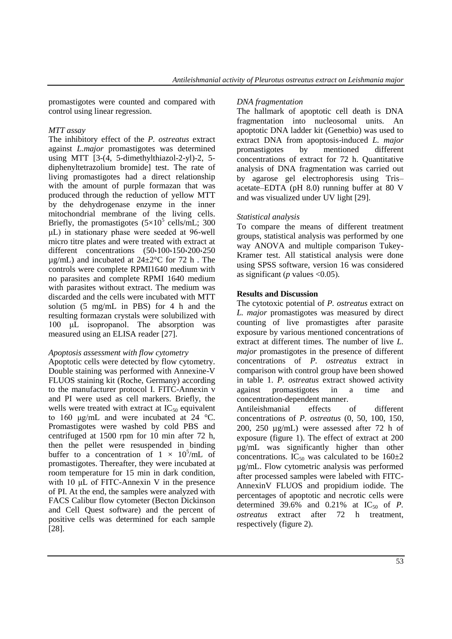promastigotes were counted and compared with control using linear regression.

## *MTT assay*

The inhibitory effect of the *P. ostreatus* extract against *L.major* promastigotes was determined using MTT [3-(4, 5-dimethylthiazol-2-yl)-2, 5 diphenyltetrazolium bromide] test. The rate of living promastigotes had a direct relationship with the amount of purple formazan that was produced through the reduction of yellow MTT by the dehydrogenase enzyme in the inner mitochondrial membrane of the living cells. Briefly, the promastigotes  $(5\times10^5 \text{ cells/mL}; 300$ μL) in stationary phase were seeded at 96-well micro titre plates and were treated with extract at different concentrations (50،100،150،200،250  $\mu$ g/mL) and incubated at 24 $\pm$ 2°C for 72 h. The controls were complete RPMI1640 medium with no parasites and complete RPMI 1640 medium with parasites without extract. The medium was discarded and the cells were incubated with MTT solution (5 mg/mL in PBS) for 4 h and the resulting formazan crystals were solubilized with 100 μL isopropanol. The absorption was measured using an ELISA reader [27].

## *Apoptosis assessment with flow cytometry*

Apoptotic cells were detected by flow cytometry. Double staining was performed with Annexine-V FLUOS staining kit (Roche, Germany) according to the manufacturer protocol I. FITC-Annexin v and PI were used as cell markers. Briefly, the wells were treated with extract at  $IC_{50}$  equivalent to 160 μg/mL and were incubated at 24 °C. Promastigotes were washed by cold PBS and centrifuged at 1500 rpm for 10 min after 72 h, then the pellet were resuspended in binding buffer to a concentration of  $1 \times 10^5$ /mL of promastigotes. Thereafter, they were incubated at room temperature for 15 min in dark condition, with 10 μL of FITC-Annexin V in the presence of PI. At the end, the samples were analyzed with FACS Calibur flow cytometer (Becton Dickinson and Cell Quest software) and the percent of positive cells was determined for each sample [28].

## *DNA fragmentation*

The hallmark of apoptotic cell death is DNA fragmentation into nucleosomal units. An apoptotic DNA ladder kit (Genetbio) was used to extract DNA from apoptosis-induced *L. major* promastigotes by mentioned different concentrations of extract for 72 h. Quantitative analysis of DNA fragmentation was carried out by agarose gel electrophoresis using Tris– acetate–EDTA (pH 8.0) running buffer at 80 V and was visualized under UV light [29].

# *Statistical analysis*

To compare the means of different treatment groups, statistical analysis was performed by one way ANOVA and multiple comparison Tukey-Kramer test. All statistical analysis were done using SPSS software, version 16 was considered as significant ( $p$  values <0.05).

# **Results and Discussion**

The cytotoxic potential of *P. ostreatus* extract on *L. major* promastigotes was measured by direct counting of live promastigtes after parasite exposure by various mentioned concentrations of extract at different times. The number of live *L. major* promastigotes in the presence of different concentrations of *P. ostreatus* extract in comparison with control group have been showed in table 1. *P. ostreatus* extract showed activity against promastigotes in a time and concentration-dependent manner.

Antileishmanial effects of different concentrations of *P. ostreatus* (0, 50, 100, 150, 200, 250 µg/mL) were assessed after 72 h of exposure (figure 1). The effect of extract at 200 µg/mL was significantly higher than other concentrations. IC<sub>50</sub> was calculated to be  $160\pm2$ µg/mL. Flow cytometric analysis was performed after processed samples were labeled with FITC-AnnexinV FLUOS and propidium iodide. The percentages of apoptotic and necrotic cells were determined  $39.6\%$  and  $0.21\%$  at IC<sub>50</sub> of *P*. *ostreatus* extract after 72 h treatment, respectively (figure 2).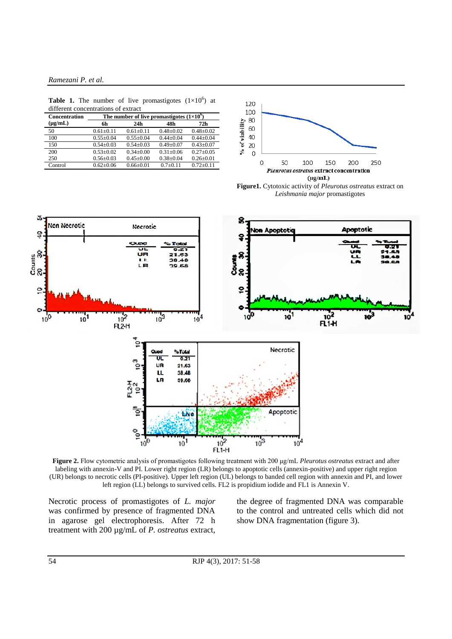#### *Ramezani P. et al.*

**Table 1.** The number of live promastigotes  $(1 \times 10^6)$  at different concentrations of extract

| <b>Concentration</b> | The number of live promastigotes $(1\times10^9)$ |                 |               |               |
|----------------------|--------------------------------------------------|-----------------|---------------|---------------|
| $(\mu g/mL)$         | 6h                                               | 24h             | 48h           | 72h           |
| 50                   | $0.61 + 0.11$                                    | $0.61 + 0.11$   | $0.48 + 0.02$ | $0.48 + 0.02$ |
| 100                  | $0.55+0.04$                                      | $0.55+0.04$     | $0.44 + 0.04$ | $0.44 + 0.04$ |
| 150                  | $0.54 + 0.03$                                    | $0.54 + 0.03$   | $0.49 + 0.07$ | $0.43 + 0.07$ |
| 200                  | $0.53 + 0.02$                                    | $0.34 + 0.00$   | $0.31 + 0.06$ | $0.27 + 0.05$ |
| 250                  | $0.56 \pm 0.03$                                  | $0.45 \pm 0.00$ | $0.38 + 0.04$ | $0.26 + 0.01$ |
| Control              | $0.62 + 0.06$                                    | $0.66 \pm 0.01$ | $0.7+0.11$    | $0.72 + 0.11$ |



*Leishmania major* promastigotes



**Figure 2.** Flow cytometric analysis of promastigotes following treatment with 200 μg/mL *Pleurotus ostreatus* extract and after labeling with annexin-V and PI. Lower right region (LR) belongs to apoptotic cells (annexin-positive) and upper right region (UR) belongs to necrotic cells (PI-positive). Upper left region (UL) belongs to banded cell region with annexin and PI, and lower left region (LL) belongs to survived cells. FL2 is propidium iodide and FL1 is Annexin V.

Necrotic process of promastigotes of *L. major*  was confirmed by presence of fragmented DNA in agarose gel electrophoresis. After 72 h treatment with 200 µg/mL of *P. ostreatus* extract, the degree of fragmented DNA was comparable to the control and untreated cells which did not show DNA fragmentation (figure 3).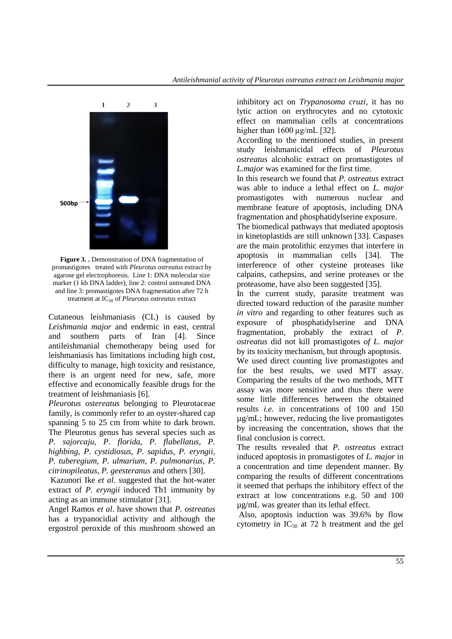

**Figure 3. .** Demonstration of DNA fragmentation of promastigotestreated with *Pleurotus ostreatus* extract by agarose gel electrophoresis. Line 1: DNA molecular size marker (1 kb DNA ladder), line 2: control untreated DNA and line 3: promastigotes DNA fragmentation after 72 h treatment at IC<sub>50</sub> of *Pleurotus ostreatus* extract

Cutaneous leishmaniasis (CL) is caused by *Leishmania major* and endemic in east, central and southern parts of Iran [4]. Since antileishmanial chemotherapy being used for leishmaniasis has limitations including high cost, difficulty to manage, high toxicity and resistance, there is an urgent need for new, safe, more effective and economically feasible drugs for the treatment of leishmaniasis [6].

*Pleurotus ostereatus* belonging to Pleurotaceae family, is commonly refer to an oyster-shared cap spanning 5 to 25 cm from white to dark brown. The Pleurotus genus has several species such as *P. sajorcaju, P. florida, P. flabellatus, P. highbing, P. cystidiosus, P. sapidus, P. eryngii, P. tuberegium, P. ulmarium, P. pulmonarius, P. citrinopileatus, P. geesteranus* and others [30].

Kazunori Ike *et al.* suggested that the hot-water extract of *P. eryngii* induced Th1 immunity by acting as an immune stimulator [31].

Angel Ramos *et al*. have shown that *P. ostreatus* has a trypanocidial activity and although the ergostrol peroxide of this mushroom showed an inhibitory act on *Trypanosoma cruzi*, it has no lytic action on erythrocytes and no cytotoxic effect on mammalian cells at concentrations higher than 1600  $\mu$ g/mL [32].

According to the mentioned studies, in present study leishmanicidal effects of *Pleurotus ostreatus* alcoholic extract on promastigotes of *L.major* was examined for the first time.

In this research we found that *P. ostreatus* extract was able to induce a lethal effect on *L. major* promastigotes with numerous nuclear and membrane feature of apoptosis, including DNA fragmentation and phosphatidylserine exposure.

The biomedical pathways that mediated apoptosis in kinetoplastids are still unknown [33]. Caspases are the main protolithic enzymes that interfere in apoptosis in mammalian cells [34]. The interference of other cysteine proteases like calpains, cathepsins, and serine proteases or the proteasome, have also been suggested [35].

In the current study, parasite treatment was directed toward reduction of the parasite number *in vitro* and regarding to other features such as exposure of phosphatidylserine and DNA fragmentation, probably the extract of *P. ostreatus* did not kill promastigotes *of L. major* by its toxicity mechanism, but through apoptosis. We used direct counting live promastigotes and for the best results, we used MTT assay. Comparing the results of the two methods, MTT assay was more sensitive and thus there were some little differences between the obtained results *i.e.* in concentrations of 100 and 150 µg/mL; however, reducing the live promastigotes by increasing the concentration, shows that the final conclusion is correct.

The results revealed that *P. ostreatus* extract induced apoptosis in promastigotes of *L. major* in a concentration and time dependent manner. By comparing the results of different concentrations it seemed that perhaps the inhibitory effect of the extract at low concentrations e.g. 50 and 100 µg/mL was greater than its lethal effect.

Also, apoptosis induction was 39.6% by flow cytometry in  $IC_{50}$  at 72 h treatment and the gel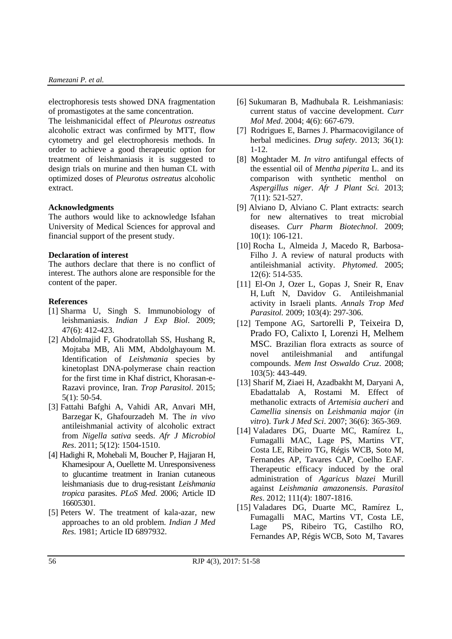electrophoresis tests showed DNA fragmentation of promastigotes at the same concentration.

The leishmanicidal effect of *Pleurotus ostreatus* alcoholic extract was confirmed by MTT, flow cytometry and gel electrophoresis methods. In order to achieve a good therapeutic option for treatment of leishmaniasis it is suggested to design trials on murine and then human CL with optimized doses of *Pleurotus ostreatus* alcoholic extract.

## **Acknowledgments**

The authors would like to acknowledge Isfahan University of Medical Sciences for approval and financial support of the present study.

#### **Declaration of interest**

The authors declare that there is no conflict of interest. The authors alone are responsible for the content of the paper.

#### **References**

- [1] Sharma U, Singh S. Immunobiology of leishmaniasis. *Indian J Exp Biol*. 2009; 47(6): 412-423.
- [2] Abdolmajid F, Ghodratollah SS, Hushang R, Mojtaba MB, Ali MM, Abdolghayoum M. Identification of *Leishmania* species by kinetoplast DNA-polymerase chain reaction for the first time in Khaf district, Khorasan-e-Razavi province, Iran. *Trop Parasitol*. 2015; 5(1): 50-54.
- [3] Fattahi Bafghi A, Vahidi AR, Anvari MH, Barzegar K, Ghafourzadeh M. The *in vivo* antileishmanial activity of alcoholic extract from *Nigella sativa* seeds. *Afr J Microbiol Res*. 2011; 5(12): 1504-1510.
- [4] Hadighi R, Mohebali M, Boucher P, Hajjaran H, Khamesipour A, Ouellette M. Unresponsiveness to glucantime treatment in Iranian cutaneous leishmaniasis due to drug-resistant *Leishmania tropica* parasites. *PLoS Med*. 2006; Article ID 16605301.
- [5] Peters W. The treatment of kala-azar, new approaches to an old problem. *[Indian J Med](https://www.ncbi.nlm.nih.gov/pubmed/?term=%5B5%5D+Peters+W.+The+treatment+of+kala-azar--new+approaches+to+an+old+problem.+The+Indian+J+of+Medical+Res.)  [Res.](https://www.ncbi.nlm.nih.gov/pubmed/?term=%5B5%5D+Peters+W.+The+treatment+of+kala-azar--new+approaches+to+an+old+problem.+The+Indian+J+of+Medical+Res.)* 1981; Article ID 6897932.
- [6] Sukumaran B, Madhubala R. Leishmaniasis: current status of vaccine development. *[Curr](https://www.ncbi.nlm.nih.gov/pubmed/?term=%5B6%5D+Sukumaran+B%2C+Madhubala+R.+Leishmaniasis%3A+current+status+of+vaccine+development.+Current+molecular+medicine.+2004)  [Mol Med](https://www.ncbi.nlm.nih.gov/pubmed/?term=%5B6%5D+Sukumaran+B%2C+Madhubala+R.+Leishmaniasis%3A+current+status+of+vaccine+development.+Current+molecular+medicine.+2004)*. 2004; 4(6): 667-679.
- [7] Rodrigues E, Barnes J. Pharmacovigilance of herbal medicines. *Drug safety*. 2013; 36(1): 1-12.
- [8] Moghtader M. *In vitro* antifungal effects of the essential oil of *Mentha piperita* L. and its comparison with synthetic menthol on *Aspergillus niger*. *Afr J [Plant Sci.](http://www.academicjournals.org/journal/AJPS)* 2013; 7(11): 521-527.
- [9] Alviano D, Alviano C. Plant extracts: search for new alternatives to treat microbial diseases. *Curr Pharm Biotechnol*. 2009; 10(1): 106-121.
- [10] Rocha L, Almeida J, Macedo R, Barbosa-Filho J. A review of natural products with antileishmanial activity. *Phytomed*. 2005; 12(6): 514-535.
- [11] [El-On](http://www.tandfonline.com/author/El-On%2C+J) J, [Ozer](http://www.tandfonline.com/author/Ozer%2C+L) L, [Gopas](http://www.tandfonline.com/author/Gopas%2C+J) J, [Sneir](http://www.tandfonline.com/author/Sneir%2C+R) R, [Enav](http://www.tandfonline.com/author/Enav%2C+H) H, [Luft](http://www.tandfonline.com/author/Luft%2C+N) N, [Davidov](http://www.tandfonline.com/author/Davidov%2C+G) G. Antileishmanial activity in Israeli plants. *Annals Trop Med Parasitol.* 2009; 103(4): 297-306.
- [12] Tempone AG, Sartorelli P, Teixeira D, Prado FO, Calixto I, Lorenzi H, Melhem MSC. Brazilian flora extracts as source of novel antileishmanial and antifungal compounds. *Mem Inst Oswaldo Cruz*. 2008; 103(5): 443-449.
- [13] Sharif M, Ziaei H, Azadbakht M, Daryani A, Ebadattalab A, Rostami M. Effect of methanolic extracts of *Artemisia aucheri* and *Camellia sinensis* on *Leishmania major* (*in vitro*). *Turk J Med Sci*. 2007; 36(6): 365-369.
- [14] Valadares DG, Duarte MC, Ramírez L, Fumagalli MAC, Lage PS, Martins VT, Costa LE, Ribeiro TG, Régis WCB, Soto M, Fernandes AP, Tavares CAP, Coelho EAF. Therapeutic efficacy induced by the oral administration of *Agaricus blazei* Murill against *Leishmania amazonensis*. *Parasitol Res*. 2012; 111(4): 1807-1816.
- [15] Valadares DG, Duarte MC, Ramírez L, Fumagalli MAC, Martins VT, Costa LE, Lage PS, Ribeiro TG, Castilho RO, Fernandes AP, Régis WCB, Soto M, Tavares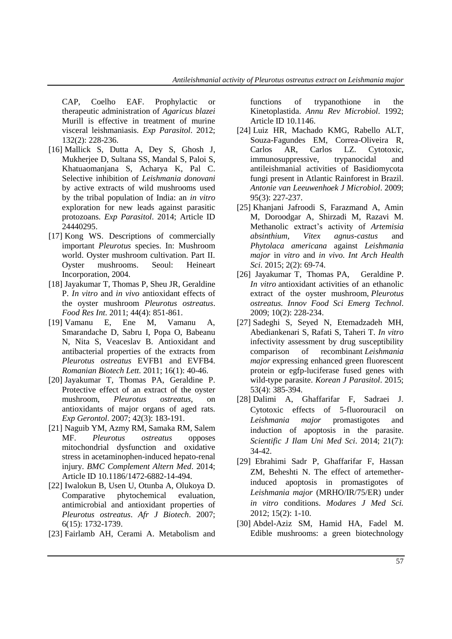CAP, Coelho EAF. Prophylactic or therapeutic administration of *Agaricus blazei* Murill is effective in treatment of murine visceral leishmaniasis. *Exp Parasitol*. 2012; 132(2): 228-236.

- [16] Mallick S, Dutta A, Dey S, Ghosh J, Mukherjee D, Sultana SS, Mandal S, Paloi S, Khatuaomanjana S, Acharya K, Pal C. Selective inhibition of *Leishmania donovani* by active extracts of wild mushrooms used by the tribal population of India: an *in vitro* exploration for new leads against parasitic protozoans. *Exp Parasitol*. 2014; Article ID 24440295.
- [17] Kong WS. Descriptions of commercially important *Pleurotus* species. In: Mushroom world. Oyster mushroom cultivation. Part II. Oyster mushrooms. Seoul: Heineart Incorporation, 2004.
- [18] Jayakumar T, Thomas P, Sheu JR, Geraldine P. *In vitro* and *in vivo* antioxidant effects of the oyster mushroom *Pleurotus ostreatus*. *Food Res Int*. 2011; 44(4): 851-861.
- [19] Vamanu E, Ene M, Vamanu A, Smarandache D, Sabru I, Popa O, Babeanu N, Nita S, Veaceslav B. Antioxidant and antibacterial properties of the extracts from *Pleurotus ostreatus* EVFB1 and EVFB4. *Romanian Biotech Lett.* 2011; 16(1): 40-46.
- [20] Jayakumar T, Thomas PA, Geraldine P. Protective effect of an extract of the oyster mushroom, *Pleurotus ostreatus*, on antioxidants of major organs of aged rats. *Exp Gerontol*. 2007; 42(3): 183-191.
- [21] Naguib YM, Azmy RM, Samaka RM, Salem MF. *Pleurotus ostreatus* opposes mitochondrial dysfunction and oxidative stress in acetaminophen-induced hepato-renal injury. *BMC Complement Altern Med*. 2014; Article ID 10.1186/1472-6882-14-494.
- [22] Iwalokun B, Usen U, Otunba A, Olukoya D. Comparative phytochemical evaluation, antimicrobial and antioxidant properties of *Pleurotus ostreatus*. *Afr J Biotech*. 2007; 6(15): 1732-1739.
- [23] Fairlamb AH, Cerami A. Metabolism and

functions of trypanothione in the Kinetoplastida. *Annu Rev Microbiol*. 1992; Article ID 10.1146.

- [24] Luiz HR, Machado KMG, Rabello ALT, Souza-Fagundes EM, Correa-Oliveira R, Carlos AR, Carlos LZ. Cytotoxic, immunosuppressive, trypanocidal and antileishmanial activities of Basidiomycota fungi present in Atlantic Rainforest in Brazil. *Antonie van Leeuwenhoek J Microbiol*. 2009; 95(3): 227-237.
- [25] Khanjani Jafroodi S, Farazmand A, Amin M, Doroodgar A, Shirzadi M, Razavi M. Methanolic extract's activity of *Artemisia absinthium, Vitex agnus-castus* and *Phytolaca americana* against *Leishmania major* in *vitro* and *in vivo*. *Int Arch Health Sci.* 2015; 2(2): 69-74.
- [26] [Jayakumar](http://www.sciencedirect.com/science/article/pii/S146685640800060X) T, [Thomas](http://www.sciencedirect.com/science/article/pii/S146685640800060X) PA, Geraldine P. *In vitro* antioxidant activities of an ethanolic extract of the oyster mushroom, *Pleurotus ostreatus. Innov Food Sci Emerg [Technol](http://www.sciencedirect.com/science/journal/14668564)*. 2009; [10\(](http://www.sciencedirect.com/science/journal/14668564/10/2)2): 228-234.
- [27] Sadeghi S, Seyed N, Etemadzadeh MH, Abediankenari S, Rafati S, Taheri T. *In vitro* infectivity assessment by drug susceptibility comparison of recombinant *Leishmania major* expressing enhanced green fluorescent protein or egfp-luciferase fused genes with wild-type parasite. *[Korean J Parasitol](https://www.ncbi.nlm.nih.gov/pmc/articles/PMC4566512/)*. 2015; 53(4): 385-394.
- [28] Dalimi A, Ghaffarifar F, Sadraei J. Cytotoxic effects of 5-fluorouracil on *Leishmania major* promastigotes and induction of apoptosis in the parasite. *Scientific J Ilam Uni Med Sci*. 2014; 21(7): 34-42.
- [29] Ebrahimi Sadr P, Ghaffarifar F, Hassan ZM, Beheshti N. The effect of artemetherinduced apoptosis in promastigotes of *Leishmania major* (MRHO/IR/75/ER) under *in vitro* conditions. *Modares J Med Sci.* 2012; 15(2): 1-10.
- [30] Abdel-Aziz SM, Hamid HA, Fadel M. Edible mushrooms: a green biotechnology